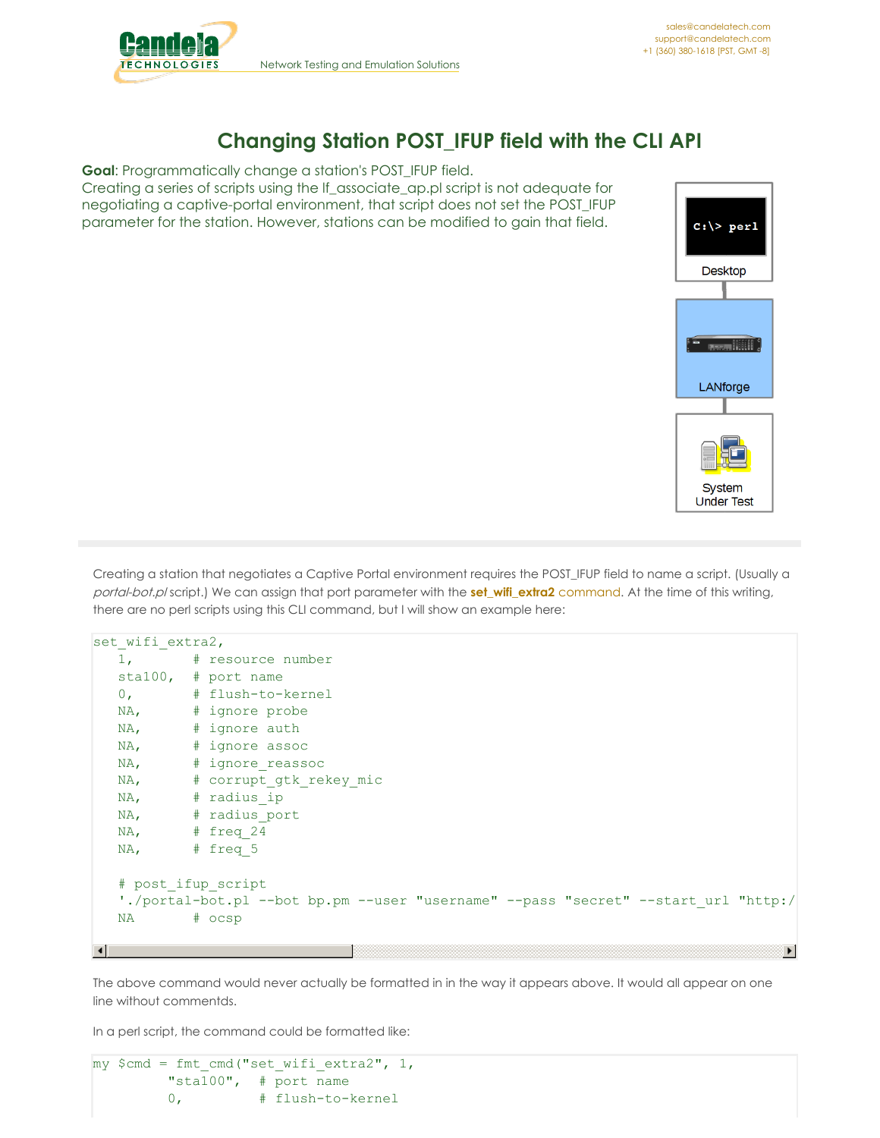

## **Changing Station POST\_IFUP field with the CLI API**

**Goal**: Programmatically change a station's POST\_IFUP field. Creating a series of scripts using the lf\_associate\_ap.pl script is not adequate for negotiating a captive-portal environment, that script does not set the POST\_IFUP parameter for the station. However, stations can be modified to gain that field.



Creating a station that negotiates a Captive Portal environment requires the POST\_IFUP field to name a script. (Usually a portal-bot.pl script.) We can assign that port parameter with the **[set\\_wifi\\_extra2](http://www.candelatech.com/lfcli_ug.php#set_wifi_extra2)** command. At the time of this writing, there are no perl scripts using this CLI command, but I will show an example here:

```
set wifi extra2,
  1, # resource number
  sta100, # port name
  0, # flush-to-kernel
  NA, # ignore probe
  NA, # ignore auth
  NA, # ignore assoc
  NA, # ignore reassoc
  NA, # corrupt gtk rekey mic
  NA, # radius ip
  NA, # radius port
  NA, # freq 24
  NA, # freq 5
  # post_ifup_script
  './portal-bot.pl --bot bp.pm --user "username" --pass "secret" --start url "http:/
  NA # ocsp
                                                                               \blacktriangleright\left| \cdot \right|
```
The above command would never actually be formatted in in the way it appears above. It would all appear on one line without commentds.

In a perl script, the command could be formatted like:

```
my $cmd = fmt cmd("set with 'xstra2", 1,"sta100", # port name
        0, # flush-to-kernel
```